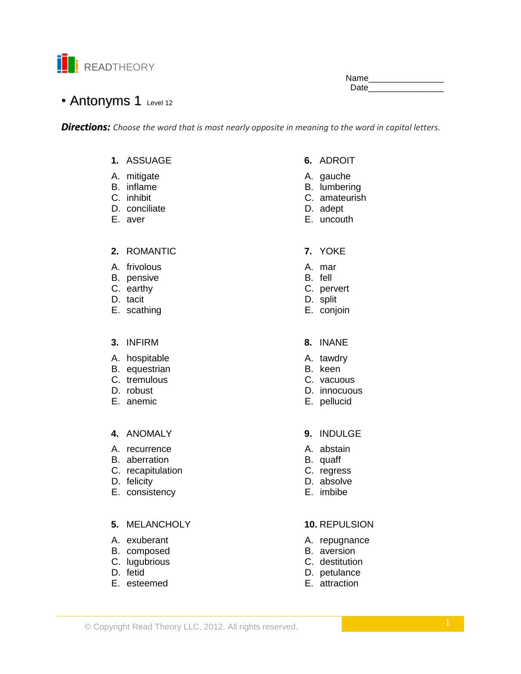

Name\_\_ **Date** 

# • Antonyms 1 Level 12

**Directions:** Choose the word that is most nearly opposite in meaning to the word in capital letters.

# 1. ASSUAGE

- A. mitigate
- B. inflame
- C. inhibit
- D. conciliate
- E. aver

### 2. ROMANTIC

- A. frivolous
- B. pensive
- C. earthy
- D. tacit
- E. scathing

### 3. INFIRM

- A. hospitable
- B. equestrian
- C. tremulous
- D. robust
- E. anemic

# 4. ANOMALY

- A. recurrence
- B. aberration
- C. recapitulation
- D. felicity
- E. consistency

# 5. MELANCHOLY

- A. exuberant
- B. composed
- C. lugubrious
- D. fetid
- E. esteemed
- 6. ADROIT
- A. gauche
- B. lumbering
- C. amateurish
- D. adept
- E. uncouth
- 7. YOKE
- A. mar
- B. fell
- C. pervert
- D. split
- E. conjoin
- 8. INANE
- A. tawdry
- B. keen
- C. vacuous
- D. innocuous
- E. pellucid
- 9. INDULGE
- A. abstain
- B. quaff
- C. regress
- D. absolve
- E. imbibe

# 10. REPULSION

- A. repugnance
- B. aversion
- C. destitution
- D. petulance
- E. attraction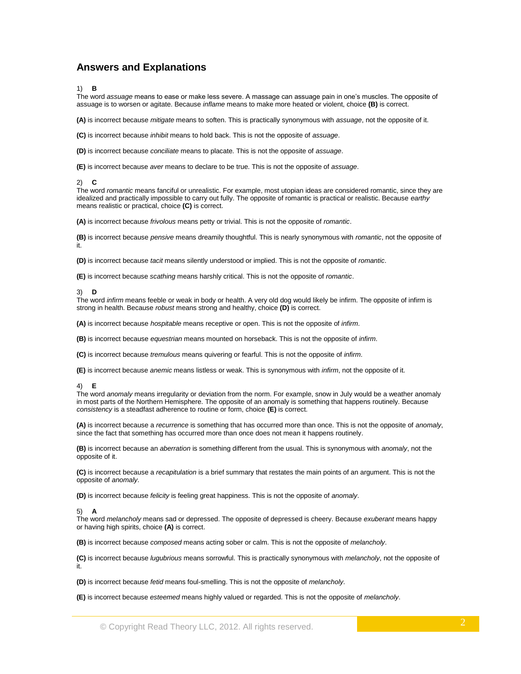# **Answers and Explanations**

### 1) **B**

The word *assuage* means to ease or make less severe. A massage can assuage pain in one's muscles. The opposite of assuage is to worsen or agitate. Because *inflame* means to make more heated or violent, choice **(B)** is correct.

**(A)** is incorrect because *mitigate* means to soften. This is practically synonymous with *assuage*, not the opposite of it.

**(C)** is incorrect because *inhibit* means to hold back. This is not the opposite of *assuage*.

**(D)** is incorrect because *conciliate* means to placate. This is not the opposite of *assuage*.

**(E)** is incorrect because *aver* means to declare to be true. This is not the opposite of *assuage*.

### 2) **C**

The word *romantic* means fanciful or unrealistic. For example, most utopian ideas are considered romantic, since they are idealized and practically impossible to carry out fully. The opposite of romantic is practical or realistic. Because *earthy* means realistic or practical, choice **(C)** is correct.

**(A)** is incorrect because *frivolous* means petty or trivial. This is not the opposite of *romantic*.

**(B)** is incorrect because *pensive* means dreamily thoughtful. This is nearly synonymous with *romantic*, not the opposite of it.

**(D)** is incorrect because *tacit* means silently understood or implied. This is not the opposite of *romantic*.

**(E)** is incorrect because *scathing* means harshly critical. This is not the opposite of *romantic*.

### 3) **D**

The word *infirm* means feeble or weak in body or health. A very old dog would likely be infirm. The opposite of infirm is strong in health. Because *robust* means strong and healthy, choice **(D)** is correct.

**(A)** is incorrect because *hospitable* means receptive or open. This is not the opposite of *infirm*.

**(B)** is incorrect because *equestrian* means mounted on horseback. This is not the opposite of *infirm*.

**(C)** is incorrect because *tremulous* means quivering or fearful. This is not the opposite of *infirm*.

**(E)** is incorrect because *anemic* means listless or weak. This is synonymous with *infirm*, not the opposite of it.

### 4) **E**

The word *anomaly* means irregularity or deviation from the norm. For example, snow in July would be a weather anomaly in most parts of the Northern Hemisphere. The opposite of an anomaly is something that happens routinely. Because *consistency* is a steadfast adherence to routine or form, choice **(E)** is correct.

**(A)** is incorrect because a *recurrence* is something that has occurred more than once. This is not the opposite of *anomaly*, since the fact that something has occurred more than once does not mean it happens routinely.

**(B)** is incorrect because an *aberration* is something different from the usual. This is synonymous with *anomaly*, not the opposite of it.

**(C)** is incorrect because a *recapitulation* is a brief summary that restates the main points of an argument. This is not the opposite of *anomaly*.

**(D)** is incorrect because *felicity* is feeling great happiness. This is not the opposite of *anomaly*.

### 5) **A**

The word *melancholy* means sad or depressed. The opposite of depressed is cheery. Because *exuberant* means happy or having high spirits, choice **(A)** is correct.

**(B)** is incorrect because *composed* means acting sober or calm. This is not the opposite of *melancholy*.

**(C)** is incorrect because *lugubrious* means sorrowful. This is practically synonymous with *melancholy*, not the opposite of it.

**(D)** is incorrect because *fetid* means foul-smelling. This is not the opposite of *melancholy*.

**(E)** is incorrect because *esteemed* means highly valued or regarded. This is not the opposite of *melancholy*.